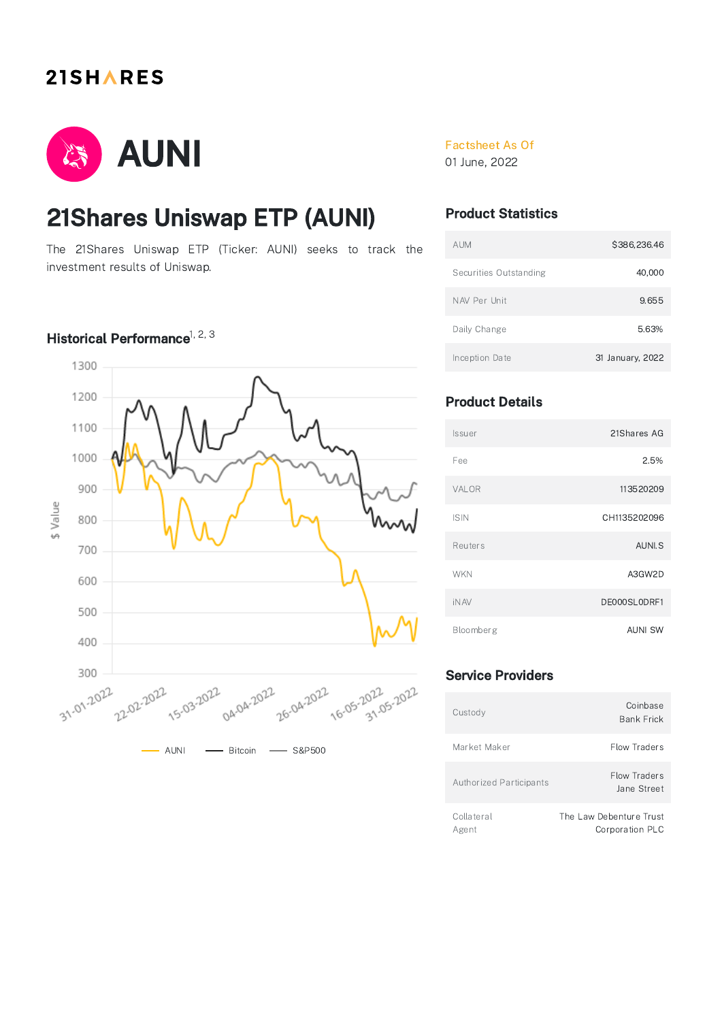### 21SHARES



# 21Shares Uniswap ETP (AUNI)

The 21Shares Uniswap ETP (Ticker: AUNI) seeks to track the investment results of Uniswap.

#### Historical Performance $1, 2, 3$



#### Factsheet As Of

01 June, 2022

#### Product Statistics

| <b>AUM</b>             | \$386,236.46     |
|------------------------|------------------|
| Securities Outstanding | 40,000           |
| NAV Per Unit           | 9.655            |
| Daily Change           | 5.63%            |
| Inception Date         | 31 January, 2022 |

### Product Details

| Issuer      | 21Shares AG    |
|-------------|----------------|
| Fee         | 2.5%           |
| VALOR       | 113520209      |
| <b>ISIN</b> | CH1135202096   |
| Reuters     | <b>AUNI.S</b>  |
| <b>WKN</b>  | A3GW2D         |
| <b>iNAV</b> | DE000SL0DRF1   |
| Bloomberg   | <b>AUNI SW</b> |

#### Service Providers

| Custody                        | Coinbase<br><b>Bank Frick</b>              |
|--------------------------------|--------------------------------------------|
| Market Maker                   | Flow Traders                               |
| <b>Authorized Participants</b> | Flow Traders<br>Jane Street                |
| Collateral<br>Agent            | The Law Debenture Trust<br>Corporation PLC |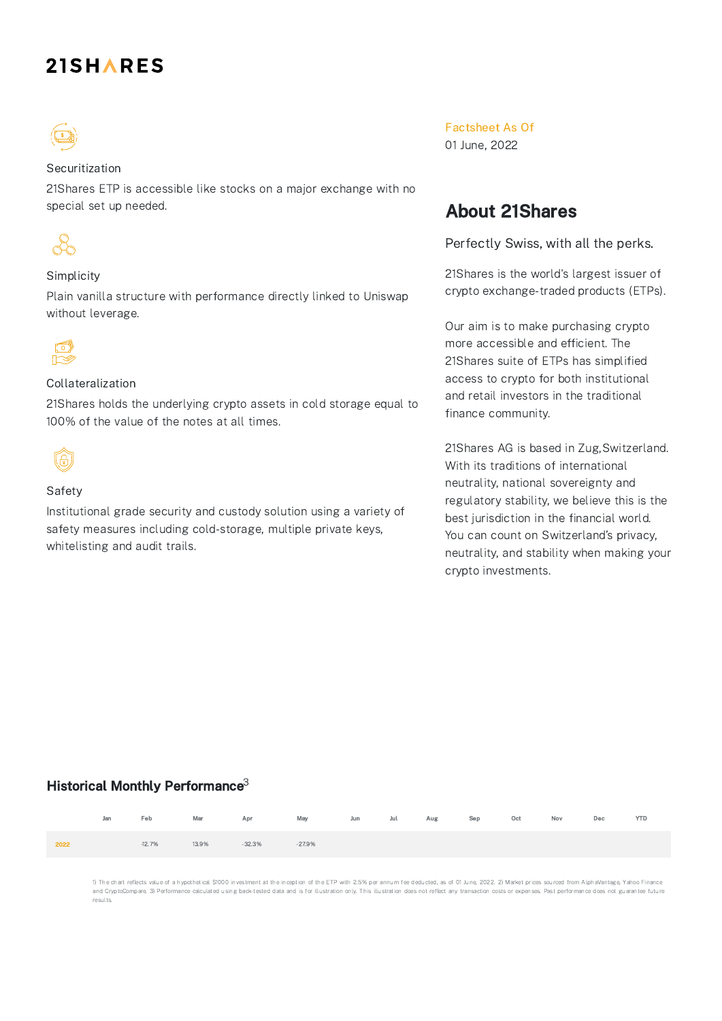### **21SHARES**



#### Securitization

21Shares ETP is accessible like stocks on a major exchange with no special set up needed.



#### Simplicity

Plain vanilla structure with performance directly linked to Uniswap without leverage.



#### Collateralization

21Shares holds the underlying crypto assets in cold storage equal to 100% of the value of the notes at all times.



#### Safety

Institutional grade security and custody solution using a variety of safety measures including cold-storage, multiple private keys, whitelisting and audit trails.

Factsheet As Of

01 June, 2022

### About 21Shares

Perfectly Swiss, with all the perks.

21Shares is the world's largest issuer of crypto exchange-traded products (ETPs).

Our aim is to make purchasing crypto more accessible and efficient. The 21Shares suite of ETPs has simplified access to crypto for both institutional and retail investors in the traditional finance community.

21Shares AG is based in Zug,Switzerland. With its traditions of international neutrality, national sovereignty and regulatory stability, we believe this is the best jurisdiction in the financial world. You can count on Switzerland's privacy, neutrality, and stability when making your crypto investments.

#### Historical Monthly Performance $^3$

|      |  | Jan Feb Mar Apr May Jun Jul Aug Sep Oct Nov Dec YTD |  |  |  |  |  |
|------|--|-----------------------------------------------------|--|--|--|--|--|
| 2022 |  | $-12.7\%$ $13.9\%$ $-32.3\%$ $-27.9\%$              |  |  |  |  |  |

1) The chart reflects value of a hypothetical \$1000 investment at the inception of the ETP with 2.5% per annum fee deducted, as of 01 June, 2022. 2) Market prices sourced from AlphaVantage, Yahoo Finance and CryptoCompare. 3) Performance calculated using back-tested data and is for illustration only. This illustration does not reflect any transaction costs or expenses. Past performance does not guarantee future results.